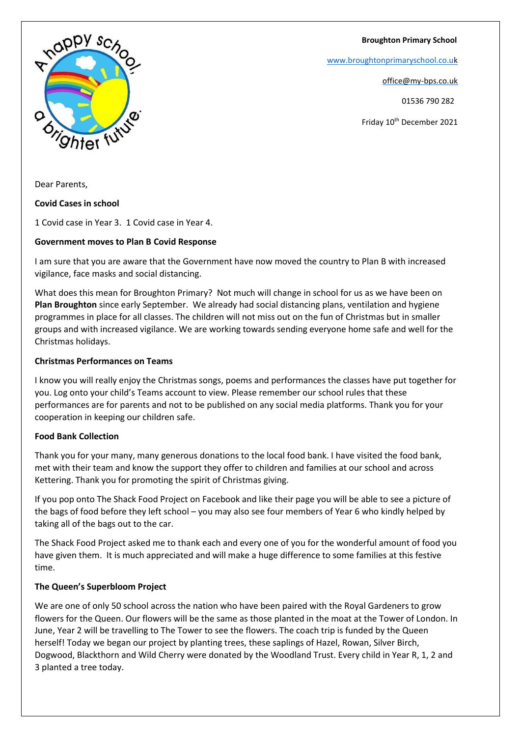**Broughton Primary School**

[www.broughtonprimaryschool.co.u](http://www.broughtonprimaryschool.co.u/)[k](http://www.broughtonprimaryschool.co.uk/)

office@my-bps.co.uk

01536 790 282

Friday 10<sup>th</sup> December 2021



Dear Parents,

### **Covid Cases in school**

1 Covid case in Year 3. 1 Covid case in Year 4.

# **Government moves to Plan B Covid Response**

I am sure that you are aware that the Government have now moved the country to Plan B with increased vigilance, face masks and social distancing.

What does this mean for Broughton Primary? Not much will change in school for us as we have been on **Plan Broughton** since early September. We already had social distancing plans, ventilation and hygiene programmes in place for all classes. The children will not miss out on the fun of Christmas but in smaller groups and with increased vigilance. We are working towards sending everyone home safe and well for the Christmas holidays.

# **Christmas Performances on Teams**

I know you will really enjoy the Christmas songs, poems and performances the classes have put together for you. Log onto your child's Teams account to view. Please remember our school rules that these performances are for parents and not to be published on any social media platforms. Thank you for your cooperation in keeping our children safe.

# **Food Bank Collection**

Thank you for your many, many generous donations to the local food bank. I have visited the food bank, met with their team and know the support they offer to children and families at our school and across Kettering. Thank you for promoting the spirit of Christmas giving.

If you pop onto The Shack Food Project on Facebook and like their page you will be able to see a picture of the bags of food before they left school – you may also see four members of Year 6 who kindly helped by taking all of the bags out to the car.

The Shack Food Project asked me to thank each and every one of you for the wonderful amount of food you have given them. It is much appreciated and will make a huge difference to some families at this festive time.

# **The Queen's Superbloom Project**

We are one of only 50 school across the nation who have been paired with the Royal Gardeners to grow flowers for the Queen. Our flowers will be the same as those planted in the moat at the Tower of London. In June, Year 2 will be travelling to The Tower to see the flowers. The coach trip is funded by the Queen herself! Today we began our project by planting trees, these saplings of Hazel, Rowan, Silver Birch, Dogwood, Blackthorn and Wild Cherry were donated by the Woodland Trust. Every child in Year R, 1, 2 and 3 planted a tree today.